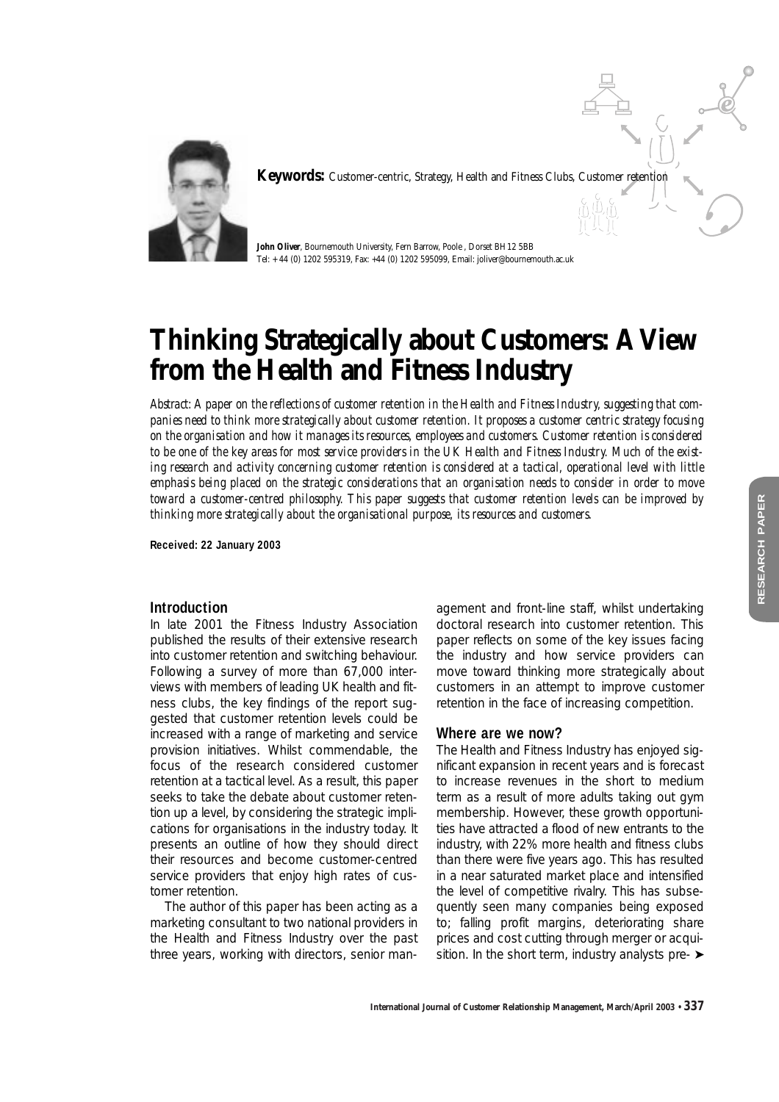

**Keywords:** Customer-centric, Strategy, Health and Fitness Clubs, Customer retention

**John Oliver**, Bournemouth University, Fern Barrow, Poole , Dorset BH12 5BB Tel: + 44 (0) 1202 595319, Fax: +44 (0) 1202 595099, Email: joliver@bournemouth.ac.uk

# **Thinking Strategically about Customers: A View from the Health and Fitness Industry**

*Abstract: A paper on the reflections of customer retention in the Health and Fitness Industry, suggesting that companies need to think more strategically about customer retention. It proposes a customer centric strategy focusing on the organisation and how it manages its resources, employees and customers. Customer retention is considered to be one of the key areas for most service providers in the UK Health and Fitness Industry. Much of the existing research and activity concerning customer retention is considered at a tactical, operational level with little emphasis being placed on the strategic considerations that an organisation needs to consider in order to move toward a customer-centred philosophy. This paper suggests that customer retention levels can be improved by thinking more strategically about the organisational purpose, its resources and customers.*

**Received: 22 January 2003**

## **Introduction**

In late 2001 the Fitness Industry Association published the results of their extensive research into customer retention and switching behaviour. Following a survey of more than 67,000 interviews with members of leading UK health and fitness clubs, the key findings of the report suggested that customer retention levels could be increased with a range of marketing and service provision initiatives. Whilst commendable, the focus of the research considered customer retention at a tactical level. As a result, this paper seeks to take the debate about customer retention up a level, by considering the strategic implications for organisations in the industry today. It presents an outline of how they should direct their resources and become customer-centred service providers that enjoy high rates of customer retention.

The author of this paper has been acting as a marketing consultant to two national providers in the Health and Fitness Industry over the past three years, working with directors, senior management and front-line staff, whilst undertaking doctoral research into customer retention. This paper reflects on some of the key issues facing the industry and how service providers can move toward thinking more strategically about customers in an attempt to improve customer retention in the face of increasing competition.

#### **Where are we now?**

The Health and Fitness Industry has enjoyed significant expansion in recent years and is forecast to increase revenues in the short to medium term as a result of more adults taking out gym membership. However, these growth opportunities have attracted a flood of new entrants to the industry, with 22% more health and fitness clubs than there were five years ago. This has resulted in a near saturated market place and intensified the level of competitive rivalry. This has subsequently seen many companies being exposed to; falling profit margins, deteriorating share prices and cost cutting through merger or acquisition. In the short term, industry analysts pre- ►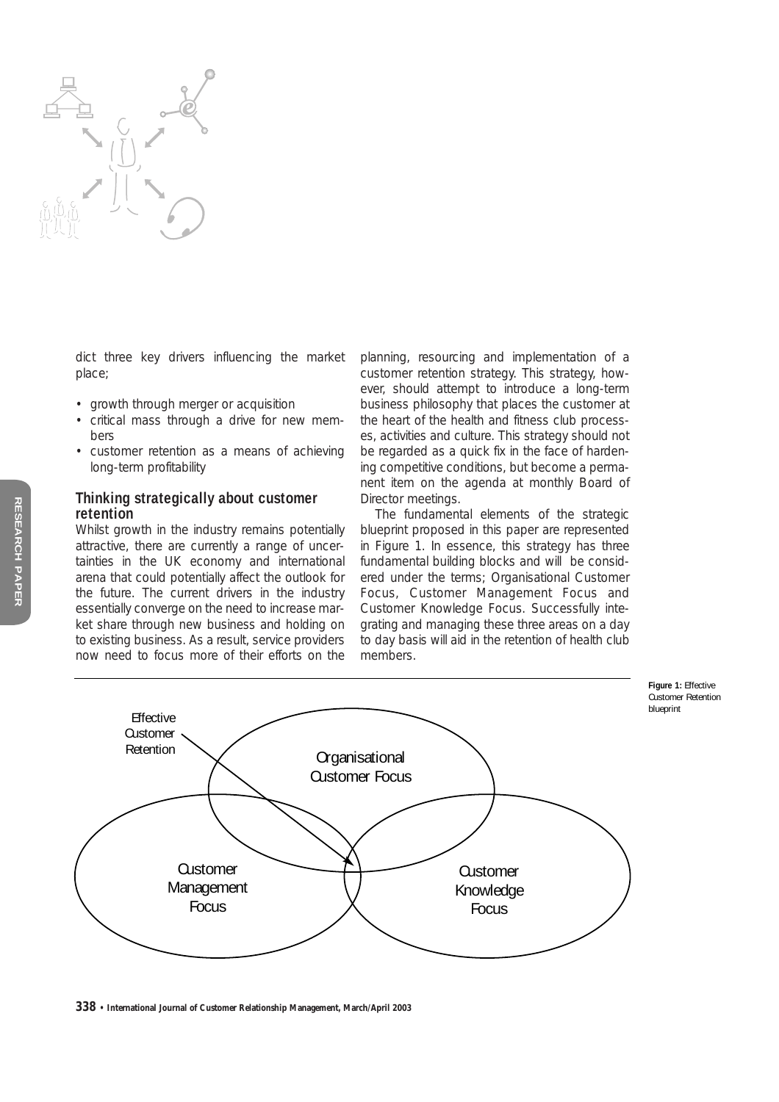

dict three key drivers influencing the market place;

- growth through merger or acquisition
- critical mass through a drive for new members
- customer retention as a means of achieving long-term profitability

# **Thinking strategically about customer retention**

Whilst growth in the industry remains potentially attractive, there are currently a range of uncertainties in the UK economy and international arena that could potentially affect the outlook for the future. The current drivers in the industry essentially converge on the need to increase market share through new business and holding on to existing business. As a result, service providers now need to focus more of their efforts on the

planning, resourcing and implementation of a customer retention strategy. This strategy, however, should attempt to introduce a long-term business philosophy that places the customer at the heart of the health and fitness club processes, activities and culture. This strategy should not be regarded as a quick fix in the face of hardening competitive conditions, but become a permanent item on the agenda at monthly Board of Director meetings.

The fundamental elements of the strategic blueprint proposed in this paper are represented in Figure 1. In essence, this strategy has three fundamental building blocks and will be considered under the terms; Organisational Customer Focus, Customer Management Focus and Customer Knowledge Focus. Successfully integrating and managing these three areas on a day to day basis will aid in the retention of health club members.

**Figure 1:** Effective Customer Retention blueprint



**338 • International Journal of Customer Relationship Management, March/April 2003**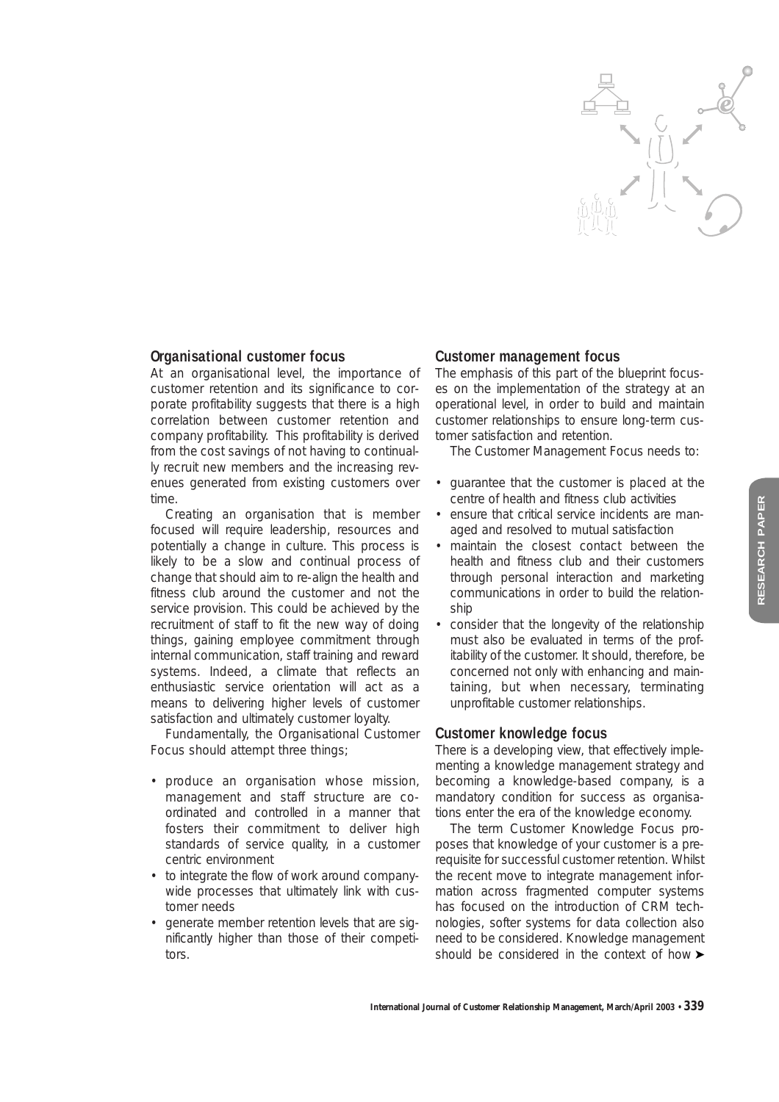

# **Organisational customer focus**

At an organisational level, the importance of customer retention and its significance to corporate profitability suggests that there is a high correlation between customer retention and company profitability. This profitability is derived from the cost savings of not having to continually recruit new members and the increasing revenues generated from existing customers over time.

Creating an organisation that is member focused will require leadership, resources and potentially a change in culture. This process is likely to be a slow and continual process of change that should aim to re-align the health and fitness club around the customer and not the service provision. This could be achieved by the recruitment of staff to fit the new way of doing things, gaining employee commitment through internal communication, staff training and reward systems. Indeed, a climate that reflects an enthusiastic service orientation will act as a means to delivering higher levels of customer satisfaction and ultimately customer loyalty.

Fundamentally, the Organisational Customer Focus should attempt three things;

- produce an organisation whose mission, management and staff structure are coordinated and controlled in a manner that fosters their commitment to deliver high standards of service quality, in a customer centric environment
- to integrate the flow of work around companywide processes that ultimately link with customer needs
- generate member retention levels that are significantly higher than those of their competitors.

# **Customer management focus**

The emphasis of this part of the blueprint focuses on the implementation of the strategy at an operational level, in order to build and maintain customer relationships to ensure long-term customer satisfaction and retention.

The Customer Management Focus needs to:

- guarantee that the customer is placed at the centre of health and fitness club activities
- ensure that critical service incidents are managed and resolved to mutual satisfaction
- maintain the closest contact between the health and fitness club and their customers through personal interaction and marketing communications in order to build the relationship
- consider that the longevity of the relationship must also be evaluated in terms of the profitability of the customer. It should, therefore, be concerned not only with enhancing and maintaining, but when necessary, terminating unprofitable customer relationships.

## **Customer knowledge focus**

There is a developing view, that effectively implementing a knowledge management strategy and becoming a knowledge-based company, is a mandatory condition for success as organisations enter the era of the knowledge economy.

The term Customer Knowledge Focus proposes that knowledge of your customer is a prerequisite for successful customer retention. Whilst the recent move to integrate management information across fragmented computer systems has focused on the introduction of CRM technologies, softer systems for data collection also need to be considered. Knowledge management should be considered in the context of how ▶